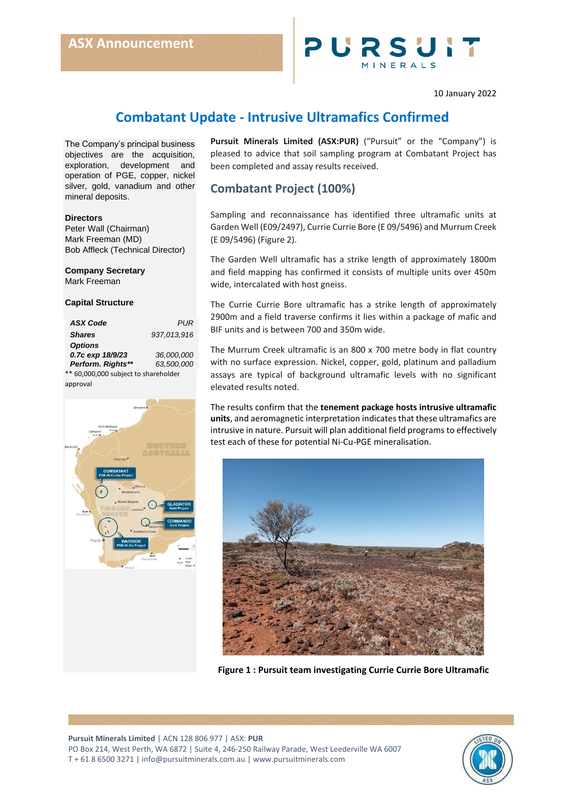

#### 10 January 2022

# **Combatant Update - Intrusive Ultramafics Confirmed**

The Company's principal business objectives are the acquisition, exploration, development and operation of PGE, copper, nickel silver, gold, vanadium and other mineral deposits.

#### **Directors**

Peter Wall (Chairman) Mark Freeman (MD) Bob Affleck (Technical Director)

## **Company Secretary**

Mark Freeman

### **Capital Structure**

| <b>ASX Code</b>   | PI IR       |
|-------------------|-------------|
| <b>Shares</b>     | 937,013,916 |
| <b>Options</b>    |             |
| 0.7c exp 18/9/23  | 36,000,000  |
| Perform. Rights** | 63.500.000  |
|                   |             |

\*\* 60,000,000 subject to shareholder approval



**Pursuit Minerals Limited (ASX:PUR)** ("Pursuit" or the "Company") is pleased to advice that soil sampling program at Combatant Project has been completed and assay results received.

# **Combatant Project (100%)**

Sampling and reconnaissance has identified three ultramafic units at Garden Well (E09/2497), Currie Currie Bore (E 09/5496) and Murrum Creek (E 09/5496) (Figure 2).

The Garden Well ultramafic has a strike length of approximately 1800m and field mapping has confirmed it consists of multiple units over 450m wide, intercalated with host gneiss.

The Currie Currie Bore ultramafic has a strike length of approximately 2900m and a field traverse confirms it lies within a package of mafic and BIF units and is between 700 and 350m wide.

The Murrum Creek ultramafic is an 800 x 700 metre body in flat country with no surface expression. Nickel, copper, gold, platinum and palladium assays are typical of background ultramafic levels with no significant elevated results noted.

The results confirm that the **tenement package hosts intrusive ultramafic units**, and aeromagnetic interpretation indicates that these ultramafics are intrusive in nature. Pursuit will plan additional field programs to effectively test each of these for potential Ni-Cu-PGE mineralisation.



**Figure 1 : Pursuit team investigating Currie Currie Bore Ultramafic**

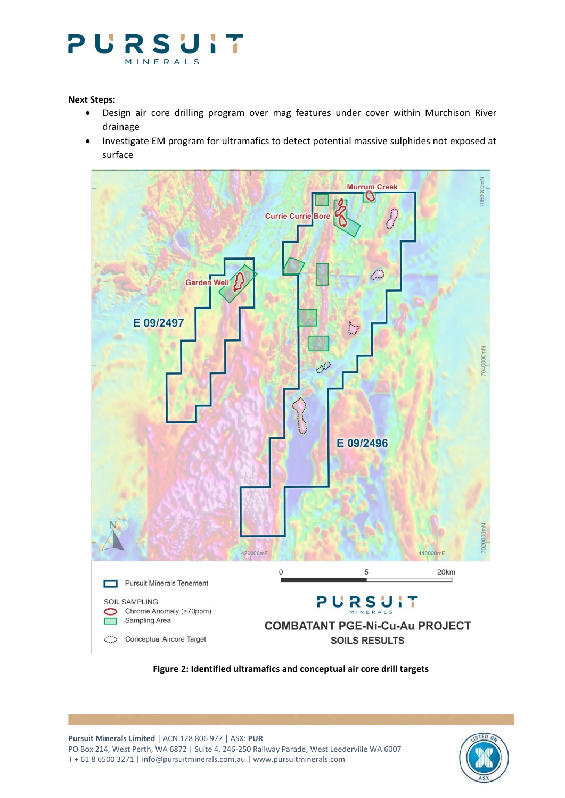

## **Next Steps:**

- Design air core drilling program over mag features under cover within Murchison River drainage
- Investigate EM program for ultramafics to detect potential massive sulphides not exposed at surface



**Figure 2: Identified ultramafics and conceptual air core drill targets**

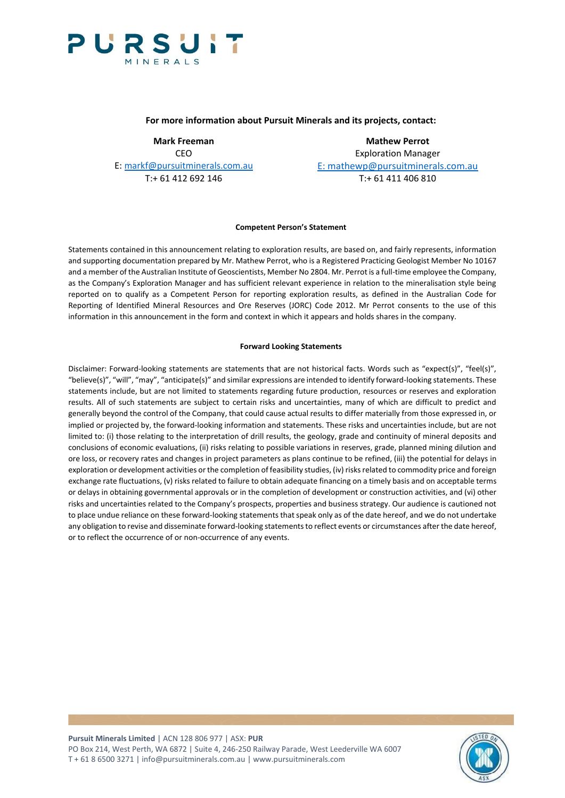

### **For more information about Pursuit Minerals and its projects, contact:**

CEO CEO<br>E: markf@pursuitminerals.com.au E: mathewp@pursuitminerals

**Mark Freeman Mathew Perrot** E: mathewp@pursuitminerals.com.au T:+ 61 412 692 146 T:+ 61 411 406 810

#### **Competent Person's Statement**

Statements contained in this announcement relating to exploration results, are based on, and fairly represents, information and supporting documentation prepared by Mr. Mathew Perrot, who is a Registered Practicing Geologist Member No 10167 and a member of the Australian Institute of Geoscientists, Member No 2804. Mr. Perrot is a full-time employee the Company, as the Company's Exploration Manager and has sufficient relevant experience in relation to the mineralisation style being reported on to qualify as a Competent Person for reporting exploration results, as defined in the Australian Code for Reporting of Identified Mineral Resources and Ore Reserves (JORC) Code 2012. Mr Perrot consents to the use of this information in this announcement in the form and context in which it appears and holds shares in the company.

#### **Forward Looking Statements**

Disclaimer: Forward-looking statements are statements that are not historical facts. Words such as "expect(s)", "feel(s)", "believe(s)", "will", "may", "anticipate(s)" and similar expressions are intended to identify forward-looking statements. These statements include, but are not limited to statements regarding future production, resources or reserves and exploration results. All of such statements are subject to certain risks and uncertainties, many of which are difficult to predict and generally beyond the control of the Company, that could cause actual results to differ materially from those expressed in, or implied or projected by, the forward-looking information and statements. These risks and uncertainties include, but are not limited to: (i) those relating to the interpretation of drill results, the geology, grade and continuity of mineral deposits and conclusions of economic evaluations, (ii) risks relating to possible variations in reserves, grade, planned mining dilution and ore loss, or recovery rates and changes in project parameters as plans continue to be refined, (iii) the potential for delays in exploration or development activities or the completion of feasibility studies, (iv) risks related to commodity price and foreign exchange rate fluctuations, (v) risks related to failure to obtain adequate financing on a timely basis and on acceptable terms or delays in obtaining governmental approvals or in the completion of development or construction activities, and (vi) other risks and uncertainties related to the Company's prospects, properties and business strategy. Our audience is cautioned not to place undue reliance on these forward-looking statements that speak only as of the date hereof, and we do not undertake any obligation to revise and disseminate forward-looking statements to reflect events or circumstances after the date hereof, or to reflect the occurrence of or non-occurrence of any events.

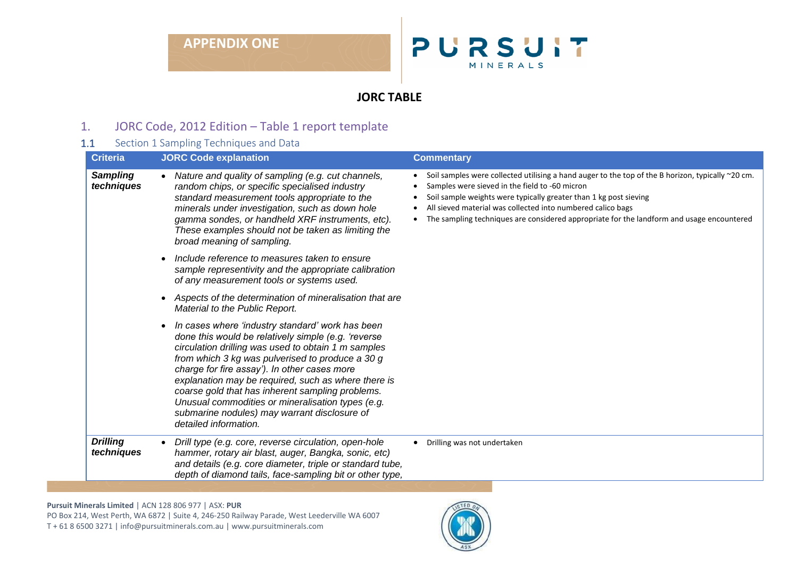# **APPENDIX ONE**



# **JORC TABLE**

# 1. JORC Code, 2012 Edition – Table 1 report template

# 1.1 Section 1 Sampling Techniques and Data

| <b>Criteria</b>               | <b>JORC Code explanation</b>                                                                                                                                                                                                                                                                                                                                                                                                                                                                                | <b>Commentary</b>                                                                                                                                                                                                                                                                                                                                                                    |
|-------------------------------|-------------------------------------------------------------------------------------------------------------------------------------------------------------------------------------------------------------------------------------------------------------------------------------------------------------------------------------------------------------------------------------------------------------------------------------------------------------------------------------------------------------|--------------------------------------------------------------------------------------------------------------------------------------------------------------------------------------------------------------------------------------------------------------------------------------------------------------------------------------------------------------------------------------|
| <b>Sampling</b><br>techniques | Nature and quality of sampling (e.g. cut channels,<br>random chips, or specific specialised industry<br>standard measurement tools appropriate to the<br>minerals under investigation, such as down hole<br>gamma sondes, or handheld XRF instruments, etc).<br>These examples should not be taken as limiting the<br>broad meaning of sampling.                                                                                                                                                            | Soil samples were collected utilising a hand auger to the top of the B horizon, typically ~20 cm.<br>Samples were sieved in the field to -60 micron<br>Soil sample weights were typically greater than 1 kg post sieving<br>All sieved material was collected into numbered calico bags<br>The sampling techniques are considered appropriate for the landform and usage encountered |
|                               | Include reference to measures taken to ensure<br>sample representivity and the appropriate calibration<br>of any measurement tools or systems used.                                                                                                                                                                                                                                                                                                                                                         |                                                                                                                                                                                                                                                                                                                                                                                      |
|                               | Aspects of the determination of mineralisation that are<br>Material to the Public Report.                                                                                                                                                                                                                                                                                                                                                                                                                   |                                                                                                                                                                                                                                                                                                                                                                                      |
|                               | In cases where 'industry standard' work has been<br>done this would be relatively simple (e.g. 'reverse<br>circulation drilling was used to obtain 1 m samples<br>from which 3 kg was pulverised to produce a 30 g<br>charge for fire assay'). In other cases more<br>explanation may be required, such as where there is<br>coarse gold that has inherent sampling problems.<br>Unusual commodities or mineralisation types (e.g.<br>submarine nodules) may warrant disclosure of<br>detailed information. |                                                                                                                                                                                                                                                                                                                                                                                      |
| <b>Drilling</b><br>techniques | Drill type (e.g. core, reverse circulation, open-hole<br>$\bullet$<br>hammer, rotary air blast, auger, Bangka, sonic, etc)<br>and details (e.g. core diameter, triple or standard tube,<br>depth of diamond tails, face-sampling bit or other type,                                                                                                                                                                                                                                                         | Drilling was not undertaken<br>$\bullet$                                                                                                                                                                                                                                                                                                                                             |

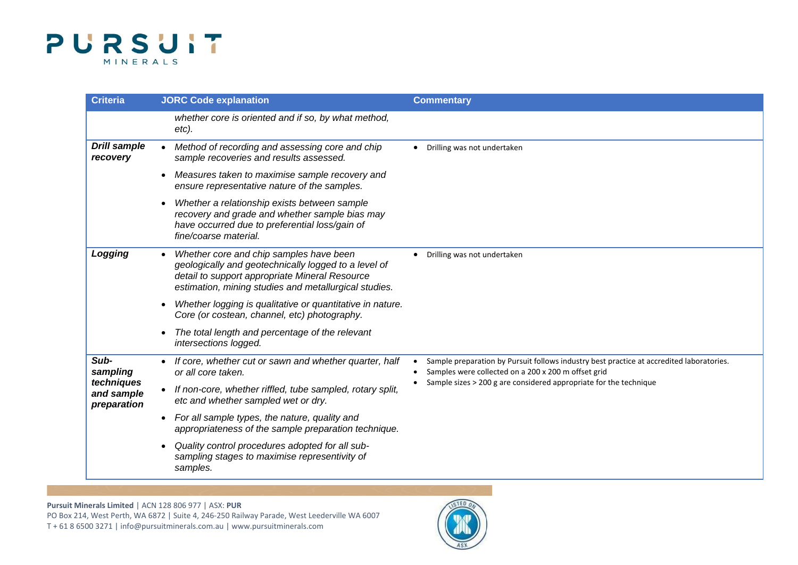

| <b>Criteria</b>                         | <b>JORC Code explanation</b>                                                                                                                                                                               | <b>Commentary</b>                                                                                                                                                                                                                 |
|-----------------------------------------|------------------------------------------------------------------------------------------------------------------------------------------------------------------------------------------------------------|-----------------------------------------------------------------------------------------------------------------------------------------------------------------------------------------------------------------------------------|
|                                         | whether core is oriented and if so, by what method,<br>etc).                                                                                                                                               |                                                                                                                                                                                                                                   |
| <b>Drill sample</b><br>recovery         | Method of recording and assessing core and chip<br>sample recoveries and results assessed.                                                                                                                 | Drilling was not undertaken<br>$\bullet$                                                                                                                                                                                          |
|                                         | Measures taken to maximise sample recovery and<br>$\bullet$<br>ensure representative nature of the samples.                                                                                                |                                                                                                                                                                                                                                   |
|                                         | Whether a relationship exists between sample<br>recovery and grade and whether sample bias may<br>have occurred due to preferential loss/gain of<br>fine/coarse material.                                  |                                                                                                                                                                                                                                   |
| Logging                                 | Whether core and chip samples have been<br>geologically and geotechnically logged to a level of<br>detail to support appropriate Mineral Resource<br>estimation, mining studies and metallurgical studies. | Drilling was not undertaken<br>$\bullet$                                                                                                                                                                                          |
|                                         | Whether logging is qualitative or quantitative in nature.<br>Core (or costean, channel, etc) photography.                                                                                                  |                                                                                                                                                                                                                                   |
|                                         | The total length and percentage of the relevant<br>intersections logged.                                                                                                                                   |                                                                                                                                                                                                                                   |
| Sub-<br>sampling                        | • If core, whether cut or sawn and whether quarter, half<br>or all core taken.                                                                                                                             | Sample preparation by Pursuit follows industry best practice at accredited laboratories.<br>Samples were collected on a 200 x 200 m offset grid<br>$\bullet$<br>Sample sizes > 200 g are considered appropriate for the technique |
| techniques<br>and sample<br>preparation | • If non-core, whether riffled, tube sampled, rotary split,<br>etc and whether sampled wet or dry.                                                                                                         |                                                                                                                                                                                                                                   |
|                                         | • For all sample types, the nature, quality and<br>appropriateness of the sample preparation technique.                                                                                                    |                                                                                                                                                                                                                                   |
|                                         | Quality control procedures adopted for all sub-<br>$\bullet$<br>sampling stages to maximise representivity of<br>samples.                                                                                  |                                                                                                                                                                                                                                   |

**Pursuit Minerals Limited** | ACN 128 806 977 | ASX: **PUR**

PO Box 214, West Perth, WA 6872 | Suite 4, 246-250 Railway Parade, West Leederville WA 6007 T + 61 8 6500 3271 [| info@pursuitminerals.com.au](mailto:info@pursuitminerals.com.au) [| www.pursuitminerals.com](http://www.pursuitminerals.com/)

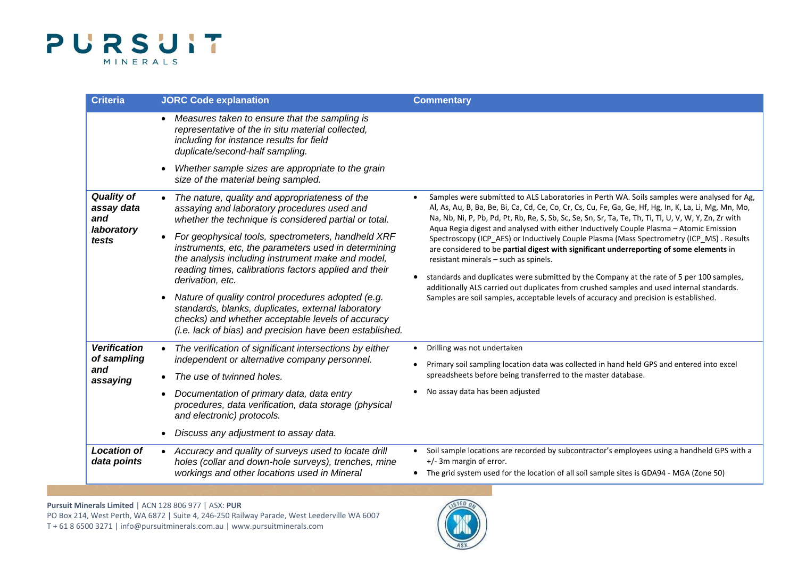

| <b>Criteria</b>                                                     | <b>JORC Code explanation</b>                                                                                                                                                                                                                 | <b>Commentary</b>                                                                                                                                                                                                                                                                                                                                                                                                                                                                                                                                                                                                                                                                                                                                                                                                                                          |
|---------------------------------------------------------------------|----------------------------------------------------------------------------------------------------------------------------------------------------------------------------------------------------------------------------------------------|------------------------------------------------------------------------------------------------------------------------------------------------------------------------------------------------------------------------------------------------------------------------------------------------------------------------------------------------------------------------------------------------------------------------------------------------------------------------------------------------------------------------------------------------------------------------------------------------------------------------------------------------------------------------------------------------------------------------------------------------------------------------------------------------------------------------------------------------------------|
|                                                                     | Measures taken to ensure that the sampling is<br>representative of the in situ material collected,<br>including for instance results for field<br>duplicate/second-half sampling.                                                            |                                                                                                                                                                                                                                                                                                                                                                                                                                                                                                                                                                                                                                                                                                                                                                                                                                                            |
|                                                                     | Whether sample sizes are appropriate to the grain<br>size of the material being sampled.                                                                                                                                                     |                                                                                                                                                                                                                                                                                                                                                                                                                                                                                                                                                                                                                                                                                                                                                                                                                                                            |
| <b>Quality of</b><br>assay data<br>and                              | The nature, quality and appropriateness of the<br>assaying and laboratory procedures used and<br>whether the technique is considered partial or total.                                                                                       | Samples were submitted to ALS Laboratories in Perth WA. Soils samples were analysed for Ag,<br>$\bullet$<br>Al, As, Au, B, Ba, Be, Bi, Ca, Cd, Ce, Co, Cr, Cs, Cu, Fe, Ga, Ge, Hf, Hg, In, K, La, Li, Mg, Mn, Mo,<br>Na, Nb, Ni, P, Pb, Pd, Pt, Rb, Re, S, Sb, Sc, Se, Sn, Sr, Ta, Te, Th, Ti, Tl, U, V, W, Y, Zn, Zr with<br>Aqua Regia digest and analysed with either Inductively Couple Plasma - Atomic Emission<br>Spectroscopy (ICP_AES) or Inductively Couple Plasma (Mass Spectrometry (ICP_MS). Results<br>are considered to be partial digest with significant underreporting of some elements in<br>resistant minerals - such as spinels.<br>standards and duplicates were submitted by the Company at the rate of 5 per 100 samples,<br>$\bullet$<br>additionally ALS carried out duplicates from crushed samples and used internal standards. |
| laboratory<br>tests                                                 | For geophysical tools, spectrometers, handheld XRF<br>instruments, etc, the parameters used in determining<br>the analysis including instrument make and model,<br>reading times, calibrations factors applied and their<br>derivation, etc. |                                                                                                                                                                                                                                                                                                                                                                                                                                                                                                                                                                                                                                                                                                                                                                                                                                                            |
|                                                                     | Nature of quality control procedures adopted (e.g.<br>standards, blanks, duplicates, external laboratory<br>checks) and whether acceptable levels of accuracy<br>(i.e. lack of bias) and precision have been established.                    | Samples are soil samples, acceptable levels of accuracy and precision is established.                                                                                                                                                                                                                                                                                                                                                                                                                                                                                                                                                                                                                                                                                                                                                                      |
| <b>Verification</b>                                                 | The verification of significant intersections by either                                                                                                                                                                                      | Drilling was not undertaken<br>$\bullet$                                                                                                                                                                                                                                                                                                                                                                                                                                                                                                                                                                                                                                                                                                                                                                                                                   |
| of sampling<br>independent or alternative company personnel.<br>and | The use of twinned holes.                                                                                                                                                                                                                    | Primary soil sampling location data was collected in hand held GPS and entered into excel<br>spreadsheets before being transferred to the master database.                                                                                                                                                                                                                                                                                                                                                                                                                                                                                                                                                                                                                                                                                                 |
| assaying                                                            | Documentation of primary data, data entry                                                                                                                                                                                                    | No assay data has been adjusted                                                                                                                                                                                                                                                                                                                                                                                                                                                                                                                                                                                                                                                                                                                                                                                                                            |
|                                                                     | procedures, data verification, data storage (physical<br>and electronic) protocols.                                                                                                                                                          |                                                                                                                                                                                                                                                                                                                                                                                                                                                                                                                                                                                                                                                                                                                                                                                                                                                            |
|                                                                     | Discuss any adjustment to assay data.                                                                                                                                                                                                        |                                                                                                                                                                                                                                                                                                                                                                                                                                                                                                                                                                                                                                                                                                                                                                                                                                                            |
| <b>Location of</b><br>data points                                   | Accuracy and quality of surveys used to locate drill<br>holes (collar and down-hole surveys), trenches, mine<br>workings and other locations used in Mineral                                                                                 | Soil sample locations are recorded by subcontractor's employees using a handheld GPS with a<br>+/- 3m margin of error.<br>• The grid system used for the location of all soil sample sites is GDA94 - MGA (Zone 50)                                                                                                                                                                                                                                                                                                                                                                                                                                                                                                                                                                                                                                        |

## **Pursuit Minerals Limited** | ACN 128 806 977 | ASX: **PUR**

PO Box 214, West Perth, WA 6872 | Suite 4, 246-250 Railway Parade, West Leederville WA 6007 T + 61 8 6500 3271 [| info@pursuitminerals.com.au](mailto:info@pursuitminerals.com.au) [| www.pursuitminerals.com](http://www.pursuitminerals.com/)

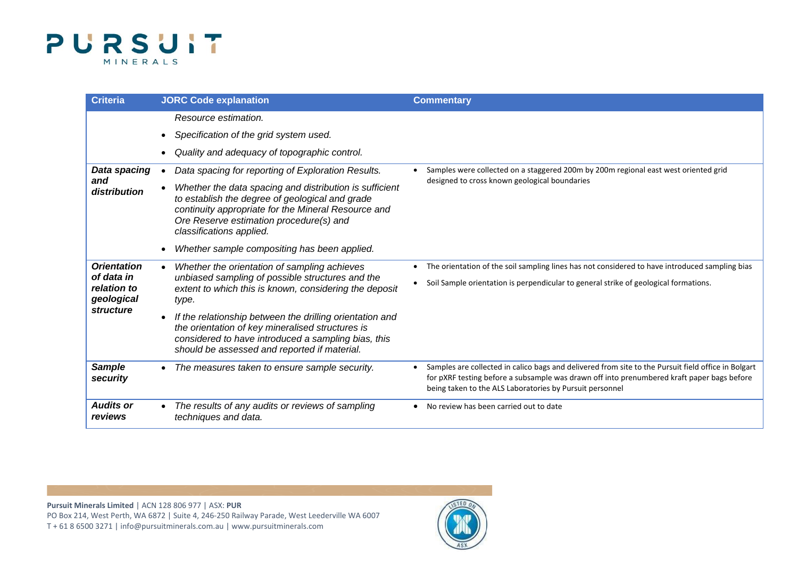

| <b>Criteria</b>                                                            | <b>JORC Code explanation</b>                                                                                                                                                                                                                                                                                                                                                               | <b>Commentary</b>                                                                                                                                                                                                                                                          |
|----------------------------------------------------------------------------|--------------------------------------------------------------------------------------------------------------------------------------------------------------------------------------------------------------------------------------------------------------------------------------------------------------------------------------------------------------------------------------------|----------------------------------------------------------------------------------------------------------------------------------------------------------------------------------------------------------------------------------------------------------------------------|
|                                                                            | Resource estimation.<br>Specification of the grid system used.<br>Quality and adequacy of topographic control.                                                                                                                                                                                                                                                                             |                                                                                                                                                                                                                                                                            |
| Data spacing<br>and<br>distribution                                        | Data spacing for reporting of Exploration Results.<br>Whether the data spacing and distribution is sufficient<br>to establish the degree of geological and grade<br>continuity appropriate for the Mineral Resource and<br>Ore Reserve estimation procedure(s) and<br>classifications applied.<br>Whether sample compositing has been applied.                                             | Samples were collected on a staggered 200m by 200m regional east west oriented grid<br>designed to cross known geological boundaries                                                                                                                                       |
| <b>Orientation</b><br>of data in<br>relation to<br>geological<br>structure | Whether the orientation of sampling achieves<br>unbiased sampling of possible structures and the<br>extent to which this is known, considering the deposit<br>type.<br>If the relationship between the drilling orientation and<br>the orientation of key mineralised structures is<br>considered to have introduced a sampling bias, this<br>should be assessed and reported if material. | The orientation of the soil sampling lines has not considered to have introduced sampling bias<br>$\bullet$<br>Soil Sample orientation is perpendicular to general strike of geological formations.                                                                        |
| <b>Sample</b><br>security                                                  | The measures taken to ensure sample security.                                                                                                                                                                                                                                                                                                                                              | Samples are collected in calico bags and delivered from site to the Pursuit field office in Bolgart<br>$\bullet$<br>for pXRF testing before a subsample was drawn off into prenumbered kraft paper bags before<br>being taken to the ALS Laboratories by Pursuit personnel |
| <b>Audits or</b><br>reviews                                                | The results of any audits or reviews of sampling<br>techniques and data.                                                                                                                                                                                                                                                                                                                   | No review has been carried out to date<br>٠                                                                                                                                                                                                                                |

**Pursuit Minerals Limited** | ACN 128 806 977 | ASX: **PUR** PO Box 214, West Perth, WA 6872 | Suite 4, 246-250 Railway Parade, West Leederville WA 6007 T + 61 8 6500 3271 [| info@pursuitminerals.com.au](mailto:info@pursuitminerals.com.au) [| www.pursuitminerals.com](http://www.pursuitminerals.com/)

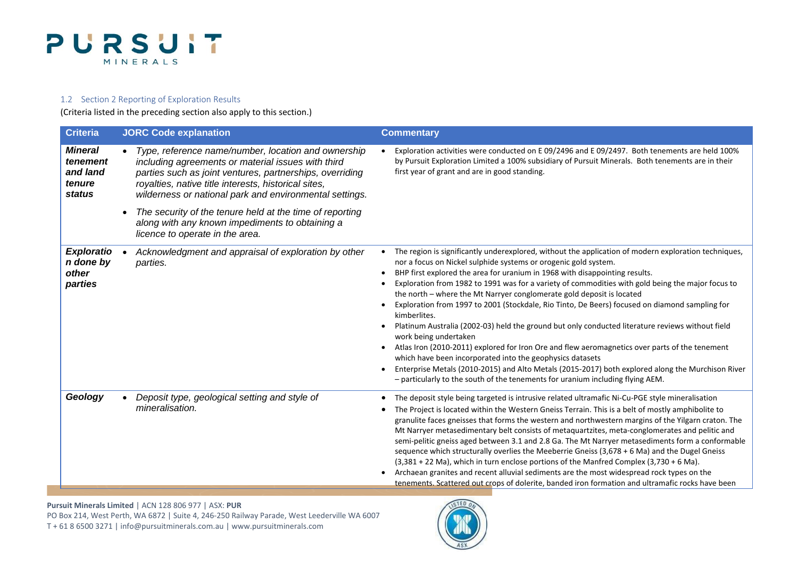

### 1.2 Section 2 Reporting of Exploration Results

(Criteria listed in the preceding section also apply to this section.)

| <b>Criteria</b>                                                   | <b>JORC Code explanation</b>                                                                                                                                                                                                                                                             | <b>Commentary</b>                                                                                                                                                                                                                                                                                                                                                                                                                                                                                                                                                                                                                                                                                                                                                                                                                                                                                                                                                                                                                         |
|-------------------------------------------------------------------|------------------------------------------------------------------------------------------------------------------------------------------------------------------------------------------------------------------------------------------------------------------------------------------|-------------------------------------------------------------------------------------------------------------------------------------------------------------------------------------------------------------------------------------------------------------------------------------------------------------------------------------------------------------------------------------------------------------------------------------------------------------------------------------------------------------------------------------------------------------------------------------------------------------------------------------------------------------------------------------------------------------------------------------------------------------------------------------------------------------------------------------------------------------------------------------------------------------------------------------------------------------------------------------------------------------------------------------------|
| <b>Mineral</b><br>tenement<br>and land<br>tenure<br><b>status</b> | Type, reference name/number, location and ownership<br>including agreements or material issues with third<br>parties such as joint ventures, partnerships, overriding<br>royalties, native title interests, historical sites,<br>wilderness or national park and environmental settings. | Exploration activities were conducted on E 09/2496 and E 09/2497. Both tenements are held 100%<br>by Pursuit Exploration Limited a 100% subsidiary of Pursuit Minerals. Both tenements are in their<br>first year of grant and are in good standing.                                                                                                                                                                                                                                                                                                                                                                                                                                                                                                                                                                                                                                                                                                                                                                                      |
|                                                                   | The security of the tenure held at the time of reporting<br>along with any known impediments to obtaining a<br>licence to operate in the area.                                                                                                                                           |                                                                                                                                                                                                                                                                                                                                                                                                                                                                                                                                                                                                                                                                                                                                                                                                                                                                                                                                                                                                                                           |
| <b>Exploratio</b><br>n done by<br>other<br>parties                | Acknowledgment and appraisal of exploration by other<br>parties.                                                                                                                                                                                                                         | The region is significantly underexplored, without the application of modern exploration techniques,<br>nor a focus on Nickel sulphide systems or orogenic gold system.<br>BHP first explored the area for uranium in 1968 with disappointing results.<br>Exploration from 1982 to 1991 was for a variety of commodities with gold being the major focus to<br>the north - where the Mt Narryer conglomerate gold deposit is located<br>Exploration from 1997 to 2001 (Stockdale, Rio Tinto, De Beers) focused on diamond sampling for<br>kimberlites.<br>Platinum Australia (2002-03) held the ground but only conducted literature reviews without field<br>work being undertaken<br>Atlas Iron (2010-2011) explored for Iron Ore and flew aeromagnetics over parts of the tenement<br>which have been incorporated into the geophysics datasets<br>Enterprise Metals (2010-2015) and Alto Metals (2015-2017) both explored along the Murchison River<br>- particularly to the south of the tenements for uranium including flying AEM. |
| Geology                                                           | Deposit type, geological setting and style of<br>mineralisation.                                                                                                                                                                                                                         | The deposit style being targeted is intrusive related ultramafic Ni-Cu-PGE style mineralisation<br>The Project is located within the Western Gneiss Terrain. This is a belt of mostly amphibolite to<br>granulite faces gneisses that forms the western and northwestern margins of the Yilgarn craton. The<br>Mt Narryer metasedimentary belt consists of metaquartzites, meta-conglomerates and pelitic and<br>semi-pelitic gneiss aged between 3.1 and 2.8 Ga. The Mt Narryer metasediments form a conformable<br>sequence which structurally overlies the Meeberrie Gneiss (3,678 + 6 Ma) and the Dugel Gneiss<br>(3,381 + 22 Ma), which in turn enclose portions of the Manfred Complex (3,730 + 6 Ma).<br>Archaean granites and recent alluvial sediments are the most widespread rock types on the<br>tenements. Scattered out crops of dolerite, banded iron formation and ultramafic rocks have been                                                                                                                             |

**Pursuit Minerals Limited** | ACN 128 806 977 | ASX: **PUR**

PO Box 214, West Perth, WA 6872 | Suite 4, 246-250 Railway Parade, West Leederville WA 6007 T + 61 8 6500 3271 [| info@pursuitminerals.com.au](mailto:info@pursuitminerals.com.au) [| www.pursuitminerals.com](http://www.pursuitminerals.com/)

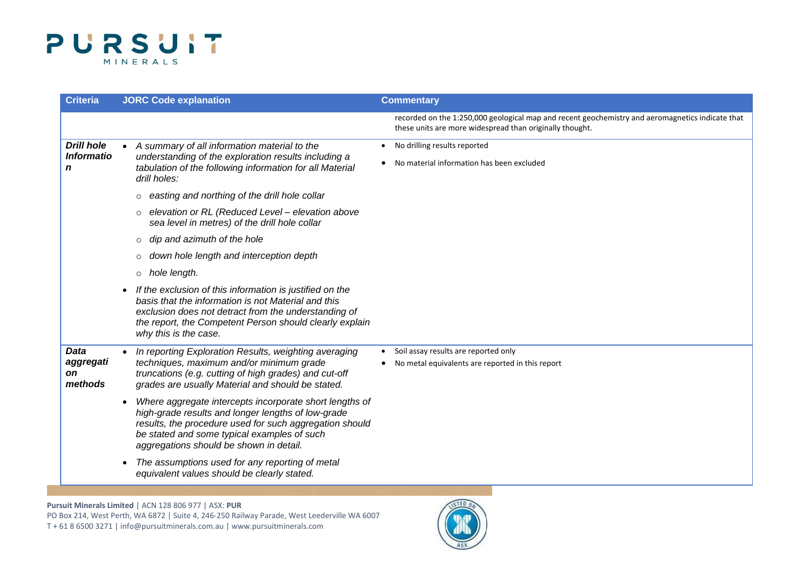

| <b>Criteria</b>                                  | <b>JORC Code explanation</b>                                                                                                                                                                                                                                       | <b>Commentary</b>                                                                                                                                            |
|--------------------------------------------------|--------------------------------------------------------------------------------------------------------------------------------------------------------------------------------------------------------------------------------------------------------------------|--------------------------------------------------------------------------------------------------------------------------------------------------------------|
|                                                  |                                                                                                                                                                                                                                                                    | recorded on the 1:250,000 geological map and recent geochemistry and aeromagnetics indicate that<br>these units are more widespread than originally thought. |
| <b>Drill hole</b><br><b>Informatio</b><br>n      | A summary of all information material to the<br>understanding of the exploration results including a<br>tabulation of the following information for all Material<br>drill holes:                                                                                   | • No drilling results reported<br>No material information has been excluded<br>$\bullet$                                                                     |
|                                                  | easting and northing of the drill hole collar<br>$\circ$<br>elevation or RL (Reduced Level - elevation above<br>$\circ$<br>sea level in metres) of the drill hole collar<br>dip and azimuth of the hole<br>$\circ$                                                 |                                                                                                                                                              |
|                                                  | down hole length and interception depth<br>$\circ$<br>hole length.<br>$\circ$                                                                                                                                                                                      |                                                                                                                                                              |
|                                                  | If the exclusion of this information is justified on the<br>basis that the information is not Material and this<br>exclusion does not detract from the understanding of<br>the report, the Competent Person should clearly explain<br>why this is the case.        |                                                                                                                                                              |
| <b>Data</b><br>aggregati<br><b>on</b><br>methods | In reporting Exploration Results, weighting averaging<br>techniques, maximum and/or minimum grade<br>truncations (e.g. cutting of high grades) and cut-off<br>grades are usually Material and should be stated.                                                    | Soil assay results are reported only<br>$\bullet$<br>No metal equivalents are reported in this report                                                        |
|                                                  | Where aggregate intercepts incorporate short lengths of<br>high-grade results and longer lengths of low-grade<br>results, the procedure used for such aggregation should<br>be stated and some typical examples of such<br>aggregations should be shown in detail. |                                                                                                                                                              |
|                                                  | The assumptions used for any reporting of metal<br>equivalent values should be clearly stated.                                                                                                                                                                     |                                                                                                                                                              |

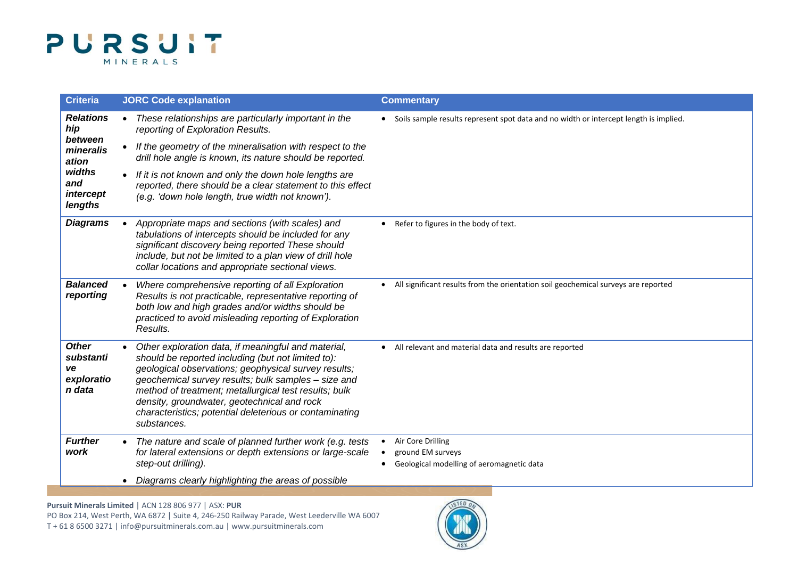

| <b>Criteria</b>                                         | <b>JORC Code explanation</b>                                                                                                                                                                                                                                                                                                                                                                               | <b>Commentary</b>                                                                                |
|---------------------------------------------------------|------------------------------------------------------------------------------------------------------------------------------------------------------------------------------------------------------------------------------------------------------------------------------------------------------------------------------------------------------------------------------------------------------------|--------------------------------------------------------------------------------------------------|
| <b>Relations</b><br>hip                                 | These relationships are particularly important in the<br>$\bullet$<br>reporting of Exploration Results.                                                                                                                                                                                                                                                                                                    | • Soils sample results represent spot data and no width or intercept length is implied.          |
| between<br>mineralis<br>ation                           | If the geometry of the mineralisation with respect to the<br>drill hole angle is known, its nature should be reported.                                                                                                                                                                                                                                                                                     |                                                                                                  |
| widths<br>and<br>intercept<br>lengths                   | If it is not known and only the down hole lengths are<br>reported, there should be a clear statement to this effect<br>(e.g. 'down hole length, true width not known').                                                                                                                                                                                                                                    |                                                                                                  |
| <b>Diagrams</b>                                         | Appropriate maps and sections (with scales) and<br>tabulations of intercepts should be included for any<br>significant discovery being reported These should<br>include, but not be limited to a plan view of drill hole<br>collar locations and appropriate sectional views.                                                                                                                              | Refer to figures in the body of text.<br>$\bullet$                                               |
| <b>Balanced</b><br>reporting                            | Where comprehensive reporting of all Exploration<br>Results is not practicable, representative reporting of<br>both low and high grades and/or widths should be<br>practiced to avoid misleading reporting of Exploration<br>Results.                                                                                                                                                                      | All significant results from the orientation soil geochemical surveys are reported               |
| <b>Other</b><br>substanti<br>ve<br>exploratio<br>n data | Other exploration data, if meaningful and material,<br>should be reported including (but not limited to):<br>geological observations; geophysical survey results;<br>geochemical survey results; bulk samples - size and<br>method of treatment; metallurgical test results; bulk<br>density, groundwater, geotechnical and rock<br>characteristics; potential deleterious or contaminating<br>substances. | • All relevant and material data and results are reported                                        |
| <b>Further</b><br>work                                  | The nature and scale of planned further work (e.g. tests<br>for lateral extensions or depth extensions or large-scale<br>step-out drilling).                                                                                                                                                                                                                                                               | Air Core Drilling<br>ground EM surveys<br>Geological modelling of aeromagnetic data<br>$\bullet$ |
|                                                         | Diagrams clearly highlighting the areas of possible                                                                                                                                                                                                                                                                                                                                                        |                                                                                                  |

**Pursuit Minerals Limited** | ACN 128 806 977 | ASX: **PUR** PO Box 214, West Perth, WA 6872 | Suite 4, 246-250 Railway Parade, West Leederville WA 6007 T + 61 8 6500 3271 [| info@pursuitminerals.com.au](mailto:info@pursuitminerals.com.au) [| www.pursuitminerals.com](http://www.pursuitminerals.com/)